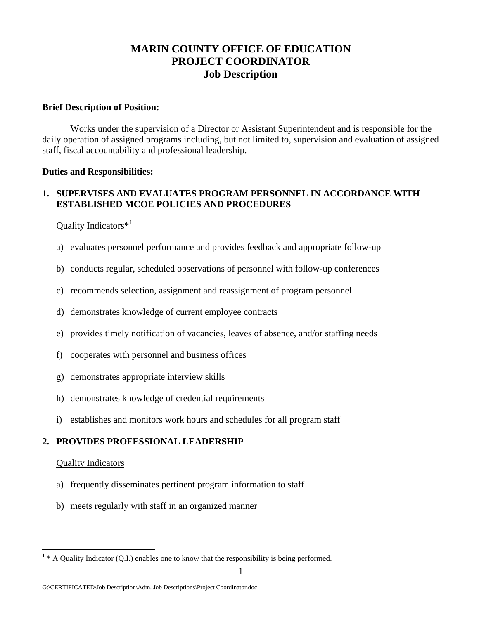# **MARIN COUNTY OFFICE OF EDUCATION PROJECT COORDINATOR Job Description**

#### **Brief Description of Position:**

 Works under the supervision of a Director or Assistant Superintendent and is responsible for the daily operation of assigned programs including, but not limited to, supervision and evaluation of assigned staff, fiscal accountability and professional leadership.

#### **Duties and Responsibilities:**

# **1. SUPERVISES AND EVALUATES PROGRAM PERSONNEL IN ACCORDANCE WITH ESTABLISHED MCOE POLICIES AND PROCEDURES**

### Quality Indicators\*[1](#page-0-0)

- a) evaluates personnel performance and provides feedback and appropriate follow-up
- b) conducts regular, scheduled observations of personnel with follow-up conferences
- c) recommends selection, assignment and reassignment of program personnel
- d) demonstrates knowledge of current employee contracts
- e) provides timely notification of vacancies, leaves of absence, and/or staffing needs
- f) cooperates with personnel and business offices
- g) demonstrates appropriate interview skills
- h) demonstrates knowledge of credential requirements
- i) establishes and monitors work hours and schedules for all program staff

### **2. PROVIDES PROFESSIONAL LEADERSHIP**

### Quality Indicators

 $\overline{a}$ 

- a) frequently disseminates pertinent program information to staff
- b) meets regularly with staff in an organized manner

<span id="page-0-0"></span> $1 * A$  Quality Indicator (Q.I.) enables one to know that the responsibility is being performed.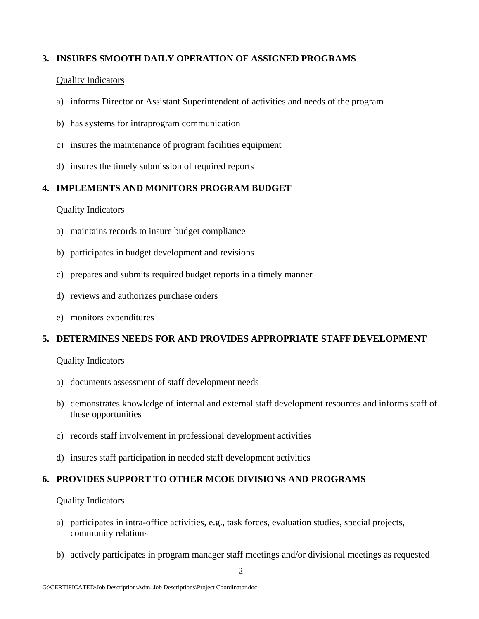# **3. INSURES SMOOTH DAILY OPERATION OF ASSIGNED PROGRAMS**

### Quality Indicators

- a) informs Director or Assistant Superintendent of activities and needs of the program
- b) has systems for intraprogram communication
- c) insures the maintenance of program facilities equipment
- d) insures the timely submission of required reports

# **4. IMPLEMENTS AND MONITORS PROGRAM BUDGET**

### Quality Indicators

- a) maintains records to insure budget compliance
- b) participates in budget development and revisions
- c) prepares and submits required budget reports in a timely manner
- d) reviews and authorizes purchase orders
- e) monitors expenditures

# **5. DETERMINES NEEDS FOR AND PROVIDES APPROPRIATE STAFF DEVELOPMENT**

### Quality Indicators

- a) documents assessment of staff development needs
- b) demonstrates knowledge of internal and external staff development resources and informs staff of these opportunities
- c) records staff involvement in professional development activities
- d) insures staff participation in needed staff development activities

# **6. PROVIDES SUPPORT TO OTHER MCOE DIVISIONS AND PROGRAMS**

### Quality Indicators

- a) participates in intra-office activities, e.g., task forces, evaluation studies, special projects, community relations
- b) actively participates in program manager staff meetings and/or divisional meetings as requested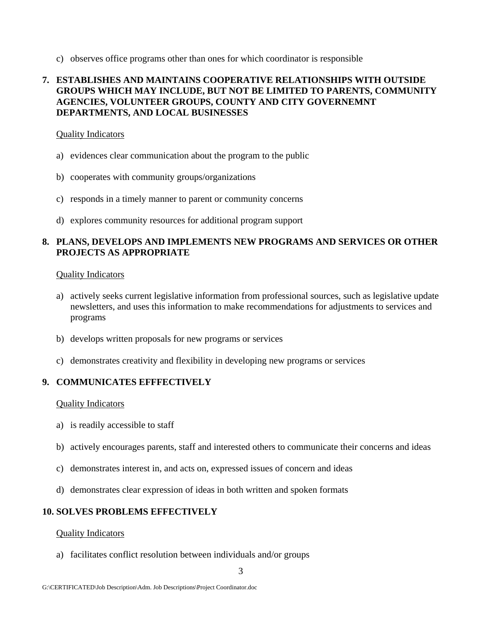c) observes office programs other than ones for which coordinator is responsible

# **7. ESTABLISHES AND MAINTAINS COOPERATIVE RELATIONSHIPS WITH OUTSIDE GROUPS WHICH MAY INCLUDE, BUT NOT BE LIMITED TO PARENTS, COMMUNITY AGENCIES, VOLUNTEER GROUPS, COUNTY AND CITY GOVERNEMNT DEPARTMENTS, AND LOCAL BUSINESSES**

#### Quality Indicators

- a) evidences clear communication about the program to the public
- b) cooperates with community groups/organizations
- c) responds in a timely manner to parent or community concerns
- d) explores community resources for additional program support

### **8. PLANS, DEVELOPS AND IMPLEMENTS NEW PROGRAMS AND SERVICES OR OTHER PROJECTS AS APPROPRIATE**

#### Quality Indicators

- a) actively seeks current legislative information from professional sources, such as legislative update newsletters, and uses this information to make recommendations for adjustments to services and programs
- b) develops written proposals for new programs or services
- c) demonstrates creativity and flexibility in developing new programs or services

### **9. COMMUNICATES EFFFECTIVELY**

#### Quality Indicators

- a) is readily accessible to staff
- b) actively encourages parents, staff and interested others to communicate their concerns and ideas
- c) demonstrates interest in, and acts on, expressed issues of concern and ideas
- d) demonstrates clear expression of ideas in both written and spoken formats

# **10. SOLVES PROBLEMS EFFECTIVELY**

#### Quality Indicators

a) facilitates conflict resolution between individuals and/or groups